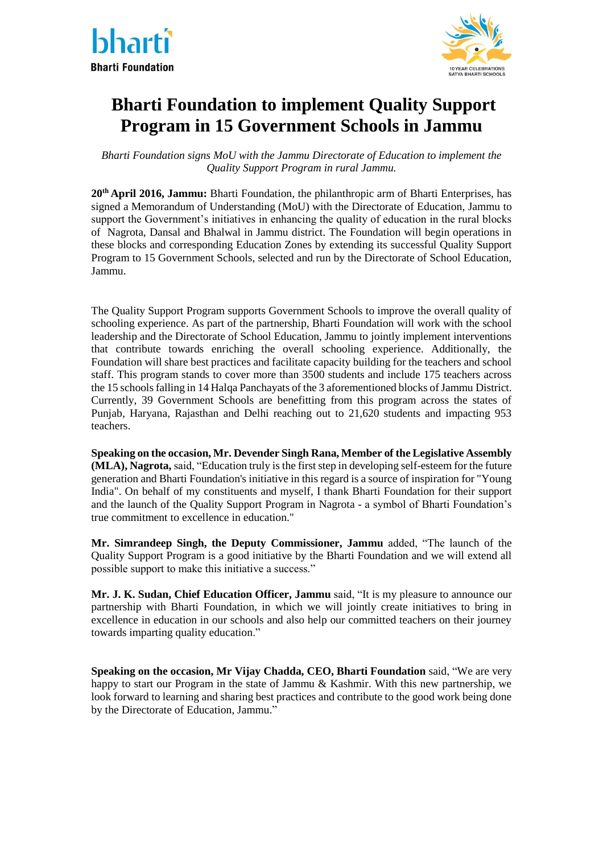



# **Bharti Foundation to implement Quality Support Program in 15 Government Schools in Jammu**

*Bharti Foundation signs MoU with the Jammu Directorate of Education to implement the Quality Support Program in rural Jammu.*

**20th April 2016, Jammu:** Bharti Foundation, the philanthropic arm of Bharti Enterprises, has signed a Memorandum of Understanding (MoU) with the Directorate of Education, Jammu to support the Government's initiatives in enhancing the quality of education in the rural blocks of Nagrota, Dansal and Bhalwal in Jammu district. The Foundation will begin operations in these blocks and corresponding Education Zones by extending its successful Quality Support Program to 15 Government Schools, selected and run by the Directorate of School Education, Jammu.

The Quality Support Program supports Government Schools to improve the overall quality of schooling experience. As part of the partnership, Bharti Foundation will work with the school leadership and the Directorate of School Education, Jammu to jointly implement interventions that contribute towards enriching the overall schooling experience. Additionally, the Foundation will share best practices and facilitate capacity building for the teachers and school staff. This program stands to cover more than 3500 students and include 175 teachers across the 15 schools falling in 14 Halqa Panchayats of the 3 aforementioned blocks of Jammu District. Currently, 39 Government Schools are benefitting from this program across the states of Punjab, Haryana, Rajasthan and Delhi reaching out to 21,620 students and impacting 953 teachers.

**Speaking on the occasion, Mr. Devender Singh Rana, Member of the Legislative Assembly (MLA), Nagrota,** said, "Education truly is the first step in developing self-esteem for the future generation and Bharti Foundation's initiative in this regard is a source of inspiration for "Young India". On behalf of my constituents and myself, I thank Bharti Foundation for their support and the launch of the Quality Support Program in Nagrota - a symbol of Bharti Foundation's true commitment to excellence in education."

**Mr. Simrandeep Singh, the Deputy Commissioner, Jammu** added, "The launch of the Quality Support Program is a good initiative by the Bharti Foundation and we will extend all possible support to make this initiative a success."

**Mr. J. K. Sudan, Chief Education Officer, Jammu** said, "It is my pleasure to announce our partnership with Bharti Foundation, in which we will jointly create initiatives to bring in excellence in education in our schools and also help our committed teachers on their journey towards imparting quality education."

**Speaking on the occasion, Mr Vijay Chadda, CEO, Bharti Foundation** said, "We are very happy to start our Program in the state of Jammu & Kashmir. With this new partnership, we look forward to learning and sharing best practices and contribute to the good work being done by the Directorate of Education, Jammu."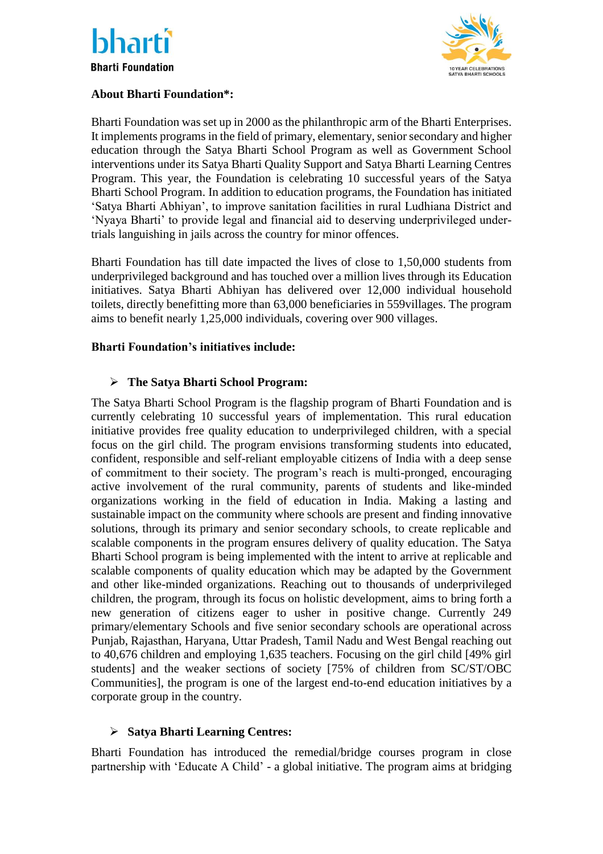



## **About Bharti Foundation\*:**

Bharti Foundation was set up in 2000 as the philanthropic arm of the Bharti Enterprises. It implements programs in the field of primary, elementary, senior secondary and higher education through the Satya Bharti School Program as well as Government School interventions under its Satya Bharti Quality Support and Satya Bharti Learning Centres Program. This year, the Foundation is celebrating 10 successful years of the Satya Bharti School Program. In addition to education programs, the Foundation has initiated 'Satya Bharti Abhiyan', to improve sanitation facilities in rural Ludhiana District and 'Nyaya Bharti' to provide legal and financial aid to deserving underprivileged undertrials languishing in jails across the country for minor offences.

Bharti Foundation has till date impacted the lives of close to 1,50,000 students from underprivileged background and has touched over a million lives through its Education initiatives. Satya Bharti Abhiyan has delivered over 12,000 individual household toilets, directly benefitting more than 63,000 beneficiaries in 559villages. The program aims to benefit nearly 1,25,000 individuals, covering over 900 villages.

### **Bharti Foundation's initiatives include:**

### **The Satya Bharti School Program:**

The Satya Bharti School Program is the flagship program of Bharti Foundation and is currently celebrating 10 successful years of implementation. This rural education initiative provides free quality education to underprivileged children, with a special focus on the girl child. The program envisions transforming students into educated, confident, responsible and self-reliant employable citizens of India with a deep sense of commitment to their society. The program's reach is multi-pronged, encouraging active involvement of the rural community, parents of students and like-minded organizations working in the field of education in India. Making a lasting and sustainable impact on the community where schools are present and finding innovative solutions, through its primary and senior secondary schools, to create replicable and scalable components in the program ensures delivery of quality education. The Satya Bharti School program is being implemented with the intent to arrive at replicable and scalable components of quality education which may be adapted by the Government and other like-minded organizations. Reaching out to thousands of underprivileged children, the program, through its focus on holistic development, aims to bring forth a new generation of citizens eager to usher in positive change. Currently 249 primary/elementary Schools and five senior secondary schools are operational across Punjab, Rajasthan, Haryana, Uttar Pradesh, Tamil Nadu and West Bengal reaching out to 40,676 children and employing 1,635 teachers. Focusing on the girl child [49% girl students] and the weaker sections of society [75% of children from SC/ST/OBC Communities], the program is one of the largest end-to-end education initiatives by a corporate group in the country.

### **Satya Bharti Learning Centres:**

Bharti Foundation has introduced the remedial/bridge courses program in close partnership with 'Educate A Child' - a global initiative. The program aims at bridging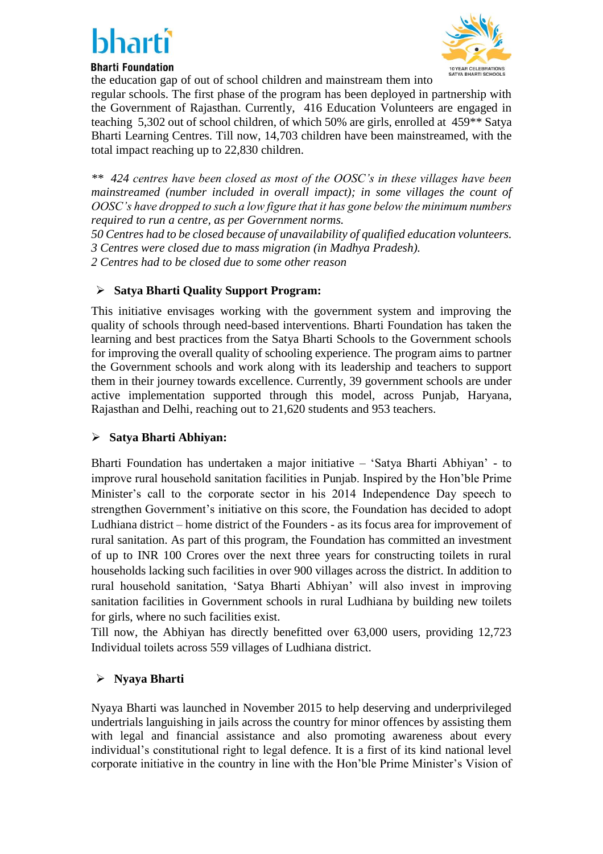# bhar

# **Bharti Foundation**

the education gap of out of school children and mainstream them into



regular schools. The first phase of the program has been deployed in partnership with the Government of Rajasthan. Currently, 416 Education Volunteers are engaged in teaching 5,302 out of school children, of which 50% are girls, enrolled at 459\*\* Satya Bharti Learning Centres. Till now, 14,703 children have been mainstreamed, with the total impact reaching up to 22,830 children.

*\*\* 424 centres have been closed as most of the OOSC's in these villages have been mainstreamed (number included in overall impact); in some villages the count of OOSC's have dropped to such a low figure that it has gone below the minimum numbers required to run a centre, as per Government norms.* 

*50 Centres had to be closed because of unavailability of qualified education volunteers. 3 Centres were closed due to mass migration (in Madhya Pradesh).*

*2 Centres had to be closed due to some other reason*

# **Satya Bharti Quality Support Program:**

This initiative envisages working with the government system and improving the quality of schools through need-based interventions. Bharti Foundation has taken the learning and best practices from the Satya Bharti Schools to the Government schools for improving the overall quality of schooling experience. The program aims to partner the Government schools and work along with its leadership and teachers to support them in their journey towards excellence. Currently, 39 government schools are under active implementation supported through this model, across Punjab, Haryana, Rajasthan and Delhi, reaching out to 21,620 students and 953 teachers.

# **Satya Bharti Abhiyan:**

Bharti Foundation has undertaken a major initiative – 'Satya Bharti Abhiyan' - to improve rural household sanitation facilities in Punjab. Inspired by the Hon'ble Prime Minister's call to the corporate sector in his 2014 Independence Day speech to strengthen Government's initiative on this score, the Foundation has decided to adopt Ludhiana district – home district of the Founders - as its focus area for improvement of rural sanitation. As part of this program, the Foundation has committed an investment of up to INR 100 Crores over the next three years for constructing toilets in rural households lacking such facilities in over 900 villages across the district. In addition to rural household sanitation, 'Satya Bharti Abhiyan' will also invest in improving sanitation facilities in Government schools in rural Ludhiana by building new toilets for girls, where no such facilities exist.

Till now, the Abhiyan has directly benefitted over 63,000 users, providing 12,723 Individual toilets across 559 villages of Ludhiana district.

# **Nyaya Bharti**

Nyaya Bharti was launched in November 2015 to help deserving and underprivileged undertrials languishing in jails across the country for minor offences by assisting them with legal and financial assistance and also promoting awareness about every individual's constitutional right to legal defence. It is a first of its kind national level corporate initiative in the country in line with the Hon'ble Prime Minister's Vision of